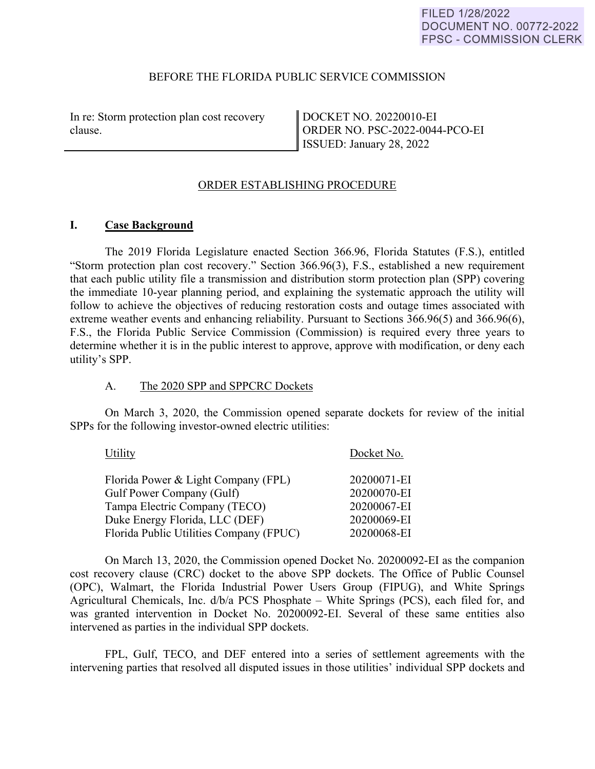#### BEFORE THE FLORIDA PUBLIC SERVICE COMMISSION

In re: Storm protection plan cost recovery clause.

DOCKET NO. 20220010-EI ORDER NO. PSC-2022-0044-PCO-EI ISSUED: January 28, 2022

### ORDER ESTABLISHING PROCEDURE

#### **I. Case Background**

 The 2019 Florida Legislature enacted Section 366.96, Florida Statutes (F.S.), entitled "Storm protection plan cost recovery." Section 366.96(3), F.S., established a new requirement that each public utility file a transmission and distribution storm protection plan (SPP) covering the immediate 10-year planning period, and explaining the systematic approach the utility will follow to achieve the objectives of reducing restoration costs and outage times associated with extreme weather events and enhancing reliability. Pursuant to Sections 366.96(5) and 366.96(6), F.S., the Florida Public Service Commission (Commission) is required every three years to determine whether it is in the public interest to approve, approve with modification, or deny each utility's SPP.

#### A. The 2020 SPP and SPPCRC Dockets

On March 3, 2020, the Commission opened separate dockets for review of the initial SPPs for the following investor-owned electric utilities:

| Utility                                 | Docket No.  |
|-----------------------------------------|-------------|
| Florida Power & Light Company (FPL)     | 20200071-EI |
| Gulf Power Company (Gulf)               | 20200070-EI |
| Tampa Electric Company (TECO)           | 20200067-EI |
| Duke Energy Florida, LLC (DEF)          | 20200069-EI |
| Florida Public Utilities Company (FPUC) | 20200068-EI |

On March 13, 2020, the Commission opened Docket No. 20200092-EI as the companion cost recovery clause (CRC) docket to the above SPP dockets. The Office of Public Counsel (OPC), Walmart, the Florida Industrial Power Users Group (FIPUG), and White Springs Agricultural Chemicals, Inc. d/b/a PCS Phosphate – White Springs (PCS), each filed for, and was granted intervention in Docket No. 20200092-EI. Several of these same entities also intervened as parties in the individual SPP dockets.

FPL, Gulf, TECO, and DEF entered into a series of settlement agreements with the intervening parties that resolved all disputed issues in those utilities' individual SPP dockets and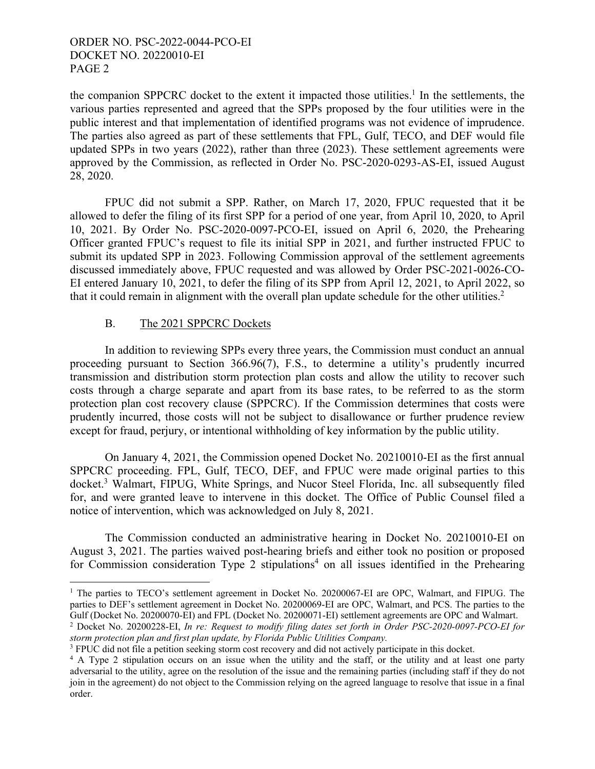the companion SPPCRC docket to the extent it impacted those utilities.<sup>1</sup> In the settlements, the various parties represented and agreed that the SPPs proposed by the four utilities were in the public interest and that implementation of identified programs was not evidence of imprudence. The parties also agreed as part of these settlements that FPL, Gulf, TECO, and DEF would file updated SPPs in two years (2022), rather than three (2023). These settlement agreements were approved by the Commission, as reflected in Order No. PSC-2020-0293-AS-EI, issued August 28, 2020.

FPUC did not submit a SPP. Rather, on March 17, 2020, FPUC requested that it be allowed to defer the filing of its first SPP for a period of one year, from April 10, 2020, to April 10, 2021. By Order No. PSC-2020-0097-PCO-EI, issued on April 6, 2020, the Prehearing Officer granted FPUC's request to file its initial SPP in 2021, and further instructed FPUC to submit its updated SPP in 2023. Following Commission approval of the settlement agreements discussed immediately above, FPUC requested and was allowed by Order PSC-2021-0026-CO-EI entered January 10, 2021, to defer the filing of its SPP from April 12, 2021, to April 2022, so that it could remain in alignment with the overall plan update schedule for the other utilities.<sup>2</sup>

# B. The 2021 SPPCRC Dockets

 $\overline{a}$ 

 In addition to reviewing SPPs every three years, the Commission must conduct an annual proceeding pursuant to Section 366.96(7), F.S., to determine a utility's prudently incurred transmission and distribution storm protection plan costs and allow the utility to recover such costs through a charge separate and apart from its base rates, to be referred to as the storm protection plan cost recovery clause (SPPCRC). If the Commission determines that costs were prudently incurred, those costs will not be subject to disallowance or further prudence review except for fraud, perjury, or intentional withholding of key information by the public utility.

 On January 4, 2021, the Commission opened Docket No. 20210010-EI as the first annual SPPCRC proceeding. FPL, Gulf, TECO, DEF, and FPUC were made original parties to this docket.<sup>3</sup> Walmart, FIPUG, White Springs, and Nucor Steel Florida, Inc. all subsequently filed for, and were granted leave to intervene in this docket. The Office of Public Counsel filed a notice of intervention, which was acknowledged on July 8, 2021.

The Commission conducted an administrative hearing in Docket No. 20210010-EI on August 3, 2021. The parties waived post-hearing briefs and either took no position or proposed for Commission consideration Type 2 stipulations<sup>4</sup> on all issues identified in the Prehearing

<sup>&</sup>lt;sup>1</sup> The parties to TECO's settlement agreement in Docket No. 20200067-EI are OPC, Walmart, and FIPUG. The parties to DEF's settlement agreement in Docket No. 20200069-EI are OPC, Walmart, and PCS. The parties to the Gulf (Docket No. 20200070-EI) and FPL (Docket No. 20200071-EI) settlement agreements are OPC and Walmart.

<sup>2</sup> Docket No. 20200228-EI, *In re: Request to modify filing dates set forth in Order PSC-2020-0097-PCO-EI for storm protection plan and first plan update, by Florida Public Utilities Company.* 

<sup>&</sup>lt;sup>3</sup> FPUC did not file a petition seeking storm cost recovery and did not actively participate in this docket.

<sup>&</sup>lt;sup>4</sup> A Type 2 stipulation occurs on an issue when the utility and the staff, or the utility and at least one party adversarial to the utility, agree on the resolution of the issue and the remaining parties (including staff if they do not join in the agreement) do not object to the Commission relying on the agreed language to resolve that issue in a final order.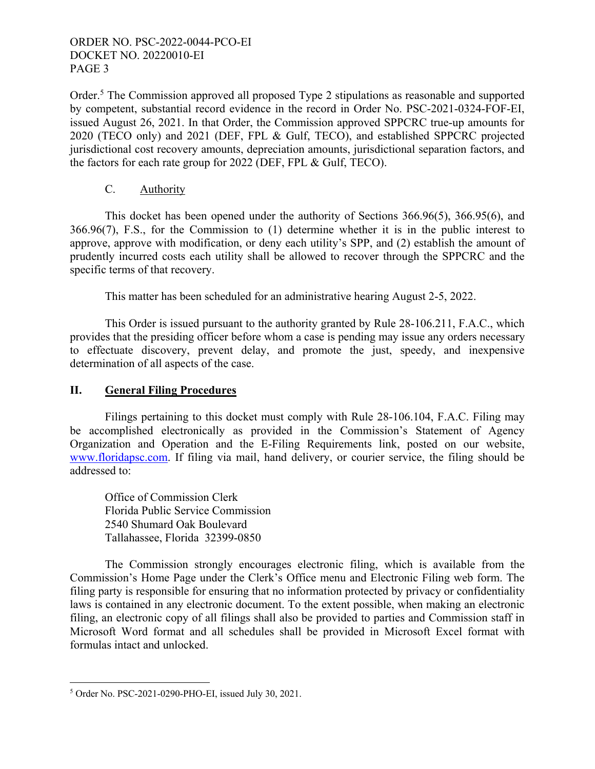Order.<sup>5</sup> The Commission approved all proposed Type 2 stipulations as reasonable and supported by competent, substantial record evidence in the record in Order No. PSC-2021-0324-FOF-EI, issued August 26, 2021. In that Order, the Commission approved SPPCRC true-up amounts for 2020 (TECO only) and 2021 (DEF, FPL & Gulf, TECO), and established SPPCRC projected jurisdictional cost recovery amounts, depreciation amounts, jurisdictional separation factors, and the factors for each rate group for 2022 (DEF, FPL & Gulf, TECO).

## C. Authority

 This docket has been opened under the authority of Sections 366.96(5), 366.95(6), and 366.96(7), F.S., for the Commission to (1) determine whether it is in the public interest to approve, approve with modification, or deny each utility's SPP, and (2) establish the amount of prudently incurred costs each utility shall be allowed to recover through the SPPCRC and the specific terms of that recovery.

This matter has been scheduled for an administrative hearing August 2-5, 2022.

 This Order is issued pursuant to the authority granted by Rule 28-106.211, F.A.C., which provides that the presiding officer before whom a case is pending may issue any orders necessary to effectuate discovery, prevent delay, and promote the just, speedy, and inexpensive determination of all aspects of the case.

# **II. General Filing Procedures**

 Filings pertaining to this docket must comply with Rule 28-106.104, F.A.C. Filing may be accomplished electronically as provided in the Commission's Statement of Agency Organization and Operation and the E-Filing Requirements link, posted on our website, www.floridapsc.com. If filing via mail, hand delivery, or courier service, the filing should be addressed to:

 Office of Commission Clerk Florida Public Service Commission 2540 Shumard Oak Boulevard Tallahassee, Florida 32399-0850

 The Commission strongly encourages electronic filing, which is available from the Commission's Home Page under the Clerk's Office menu and Electronic Filing web form. The filing party is responsible for ensuring that no information protected by privacy or confidentiality laws is contained in any electronic document. To the extent possible, when making an electronic filing, an electronic copy of all filings shall also be provided to parties and Commission staff in Microsoft Word format and all schedules shall be provided in Microsoft Excel format with formulas intact and unlocked.

 $\overline{a}$ 5 Order No. PSC-2021-0290-PHO-EI, issued July 30, 2021.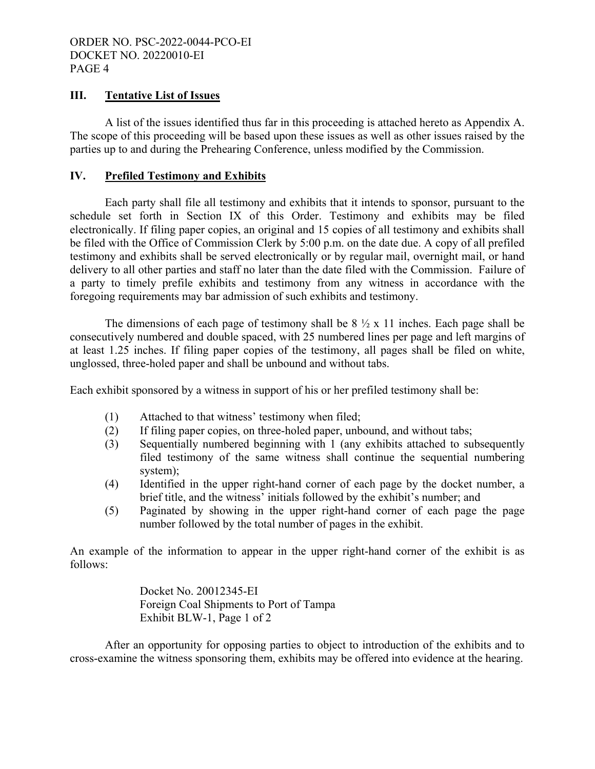### **III. Tentative List of Issues**

 A list of the issues identified thus far in this proceeding is attached hereto as Appendix A. The scope of this proceeding will be based upon these issues as well as other issues raised by the parties up to and during the Prehearing Conference, unless modified by the Commission.

## **IV. Prefiled Testimony and Exhibits**

 Each party shall file all testimony and exhibits that it intends to sponsor, pursuant to the schedule set forth in Section IX of this Order. Testimony and exhibits may be filed electronically. If filing paper copies, an original and 15 copies of all testimony and exhibits shall be filed with the Office of Commission Clerk by 5:00 p.m. on the date due. A copy of all prefiled testimony and exhibits shall be served electronically or by regular mail, overnight mail, or hand delivery to all other parties and staff no later than the date filed with the Commission. Failure of a party to timely prefile exhibits and testimony from any witness in accordance with the foregoing requirements may bar admission of such exhibits and testimony.

The dimensions of each page of testimony shall be  $8\frac{1}{2} \times 11$  inches. Each page shall be consecutively numbered and double spaced, with 25 numbered lines per page and left margins of at least 1.25 inches. If filing paper copies of the testimony, all pages shall be filed on white, unglossed, three-holed paper and shall be unbound and without tabs.

Each exhibit sponsored by a witness in support of his or her prefiled testimony shall be:

- (1) Attached to that witness' testimony when filed;
- (2) If filing paper copies, on three-holed paper, unbound, and without tabs;
- (3) Sequentially numbered beginning with 1 (any exhibits attached to subsequently filed testimony of the same witness shall continue the sequential numbering system);
- (4) Identified in the upper right-hand corner of each page by the docket number, a brief title, and the witness' initials followed by the exhibit's number; and
- (5) Paginated by showing in the upper right-hand corner of each page the page number followed by the total number of pages in the exhibit.

 An example of the information to appear in the upper right-hand corner of the exhibit is as follows:

> Docket No. 20012345-EI Foreign Coal Shipments to Port of Tampa Exhibit BLW-1, Page 1 of 2

 After an opportunity for opposing parties to object to introduction of the exhibits and to cross-examine the witness sponsoring them, exhibits may be offered into evidence at the hearing.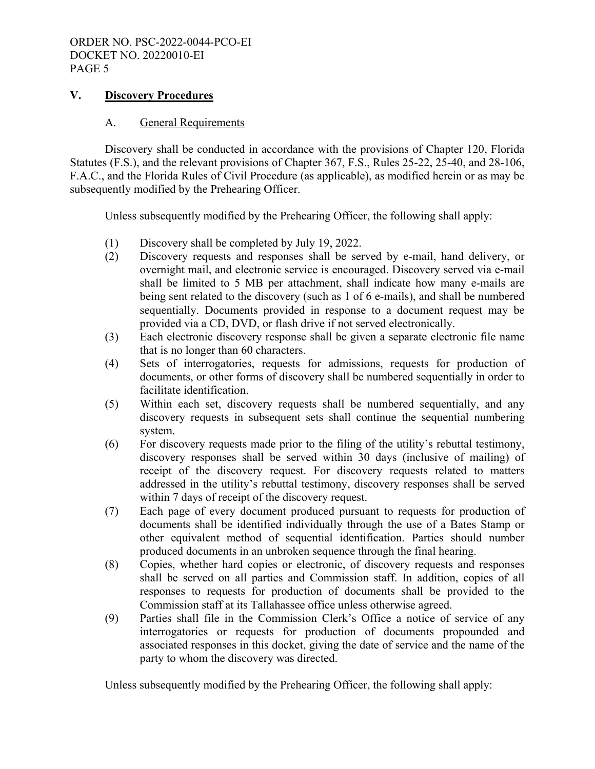## **V. Discovery Procedures**

### A. General Requirements

 Discovery shall be conducted in accordance with the provisions of Chapter 120, Florida Statutes (F.S.), and the relevant provisions of Chapter 367, F.S., Rules 25-22, 25-40, and 28-106, F.A.C., and the Florida Rules of Civil Procedure (as applicable), as modified herein or as may be subsequently modified by the Prehearing Officer.

Unless subsequently modified by the Prehearing Officer, the following shall apply:

- (1) Discovery shall be completed by July 19, 2022.
- (2) Discovery requests and responses shall be served by e-mail, hand delivery, or overnight mail, and electronic service is encouraged. Discovery served via e-mail shall be limited to 5 MB per attachment, shall indicate how many e-mails are being sent related to the discovery (such as 1 of 6 e-mails), and shall be numbered sequentially. Documents provided in response to a document request may be provided via a CD, DVD, or flash drive if not served electronically.
- (3) Each electronic discovery response shall be given a separate electronic file name that is no longer than 60 characters.
- (4) Sets of interrogatories, requests for admissions, requests for production of documents, or other forms of discovery shall be numbered sequentially in order to facilitate identification.
- (5) Within each set, discovery requests shall be numbered sequentially, and any discovery requests in subsequent sets shall continue the sequential numbering system.
- (6) For discovery requests made prior to the filing of the utility's rebuttal testimony, discovery responses shall be served within 30 days (inclusive of mailing) of receipt of the discovery request. For discovery requests related to matters addressed in the utility's rebuttal testimony, discovery responses shall be served within 7 days of receipt of the discovery request.
- (7) Each page of every document produced pursuant to requests for production of documents shall be identified individually through the use of a Bates Stamp or other equivalent method of sequential identification. Parties should number produced documents in an unbroken sequence through the final hearing.
- (8) Copies, whether hard copies or electronic, of discovery requests and responses shall be served on all parties and Commission staff. In addition, copies of all responses to requests for production of documents shall be provided to the Commission staff at its Tallahassee office unless otherwise agreed.
- (9) Parties shall file in the Commission Clerk's Office a notice of service of any interrogatories or requests for production of documents propounded and associated responses in this docket, giving the date of service and the name of the party to whom the discovery was directed.

Unless subsequently modified by the Prehearing Officer, the following shall apply: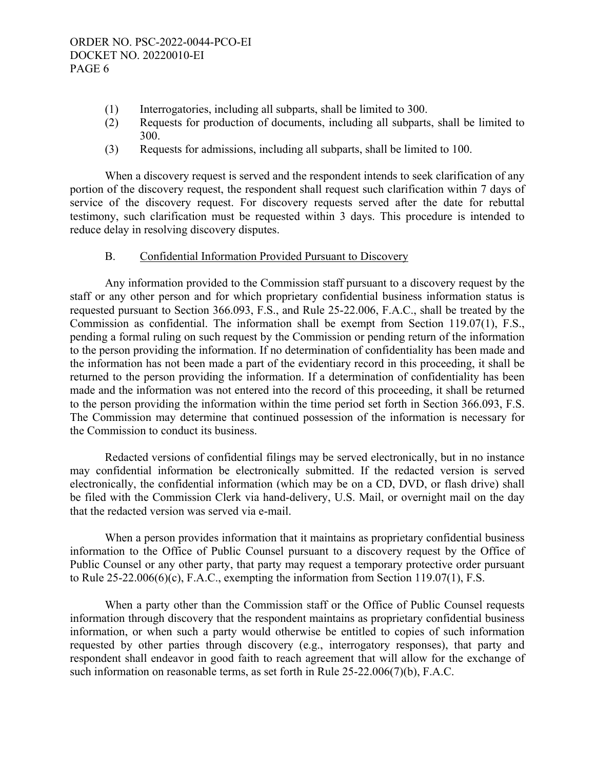- (1) Interrogatories, including all subparts, shall be limited to 300.
- (2) Requests for production of documents, including all subparts, shall be limited to 300.
- (3) Requests for admissions, including all subparts, shall be limited to 100.

When a discovery request is served and the respondent intends to seek clarification of any portion of the discovery request, the respondent shall request such clarification within 7 days of service of the discovery request. For discovery requests served after the date for rebuttal testimony, such clarification must be requested within 3 days. This procedure is intended to reduce delay in resolving discovery disputes.

### B. Confidential Information Provided Pursuant to Discovery

 Any information provided to the Commission staff pursuant to a discovery request by the staff or any other person and for which proprietary confidential business information status is requested pursuant to Section 366.093, F.S., and Rule 25-22.006, F.A.C., shall be treated by the Commission as confidential. The information shall be exempt from Section 119.07(1), F.S., pending a formal ruling on such request by the Commission or pending return of the information to the person providing the information. If no determination of confidentiality has been made and the information has not been made a part of the evidentiary record in this proceeding, it shall be returned to the person providing the information. If a determination of confidentiality has been made and the information was not entered into the record of this proceeding, it shall be returned to the person providing the information within the time period set forth in Section 366.093, F.S. The Commission may determine that continued possession of the information is necessary for the Commission to conduct its business.

 Redacted versions of confidential filings may be served electronically, but in no instance may confidential information be electronically submitted. If the redacted version is served electronically, the confidential information (which may be on a CD, DVD, or flash drive) shall be filed with the Commission Clerk via hand-delivery, U.S. Mail, or overnight mail on the day that the redacted version was served via e-mail.

 When a person provides information that it maintains as proprietary confidential business information to the Office of Public Counsel pursuant to a discovery request by the Office of Public Counsel or any other party, that party may request a temporary protective order pursuant to Rule 25-22.006(6)(c), F.A.C., exempting the information from Section 119.07(1), F.S.

 When a party other than the Commission staff or the Office of Public Counsel requests information through discovery that the respondent maintains as proprietary confidential business information, or when such a party would otherwise be entitled to copies of such information requested by other parties through discovery (e.g., interrogatory responses), that party and respondent shall endeavor in good faith to reach agreement that will allow for the exchange of such information on reasonable terms, as set forth in Rule 25-22.006(7)(b), F.A.C.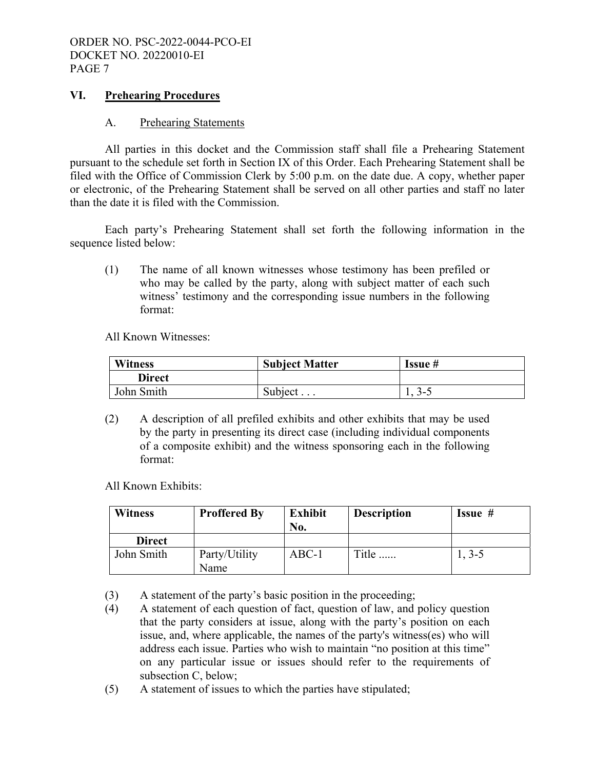### **VI. Prehearing Procedures**

#### A. Prehearing Statements

 All parties in this docket and the Commission staff shall file a Prehearing Statement pursuant to the schedule set forth in Section IX of this Order. Each Prehearing Statement shall be filed with the Office of Commission Clerk by 5:00 p.m. on the date due. A copy, whether paper or electronic, of the Prehearing Statement shall be served on all other parties and staff no later than the date it is filed with the Commission.

 Each party's Prehearing Statement shall set forth the following information in the sequence listed below:

(1) The name of all known witnesses whose testimony has been prefiled or who may be called by the party, along with subject matter of each such witness' testimony and the corresponding issue numbers in the following format:

All Known Witnesses:

| <b>Witness</b> | <b>Subject Matter</b> | Issue #  |
|----------------|-----------------------|----------|
| <b>Direct</b>  |                       |          |
| John Smith     | Subject $\ldots$      | $1, 3-5$ |

(2) A description of all prefiled exhibits and other exhibits that may be used by the party in presenting its direct case (including individual components of a composite exhibit) and the witness sponsoring each in the following format:

All Known Exhibits:

| <b>Witness</b> | <b>Proffered By</b>   | <b>Exhibit</b><br>No. | <b>Description</b> | <b>Issue</b> $#$ |
|----------------|-----------------------|-----------------------|--------------------|------------------|
| <b>Direct</b>  |                       |                       |                    |                  |
| John Smith     | Party/Utility<br>Name | $ABC-1$               | Title              | $1, 3-5$         |

- (3) A statement of the party's basic position in the proceeding;
- (4) A statement of each question of fact, question of law, and policy question that the party considers at issue, along with the party's position on each issue, and, where applicable, the names of the party's witness(es) who will address each issue. Parties who wish to maintain "no position at this time" on any particular issue or issues should refer to the requirements of subsection C, below;
- (5) A statement of issues to which the parties have stipulated;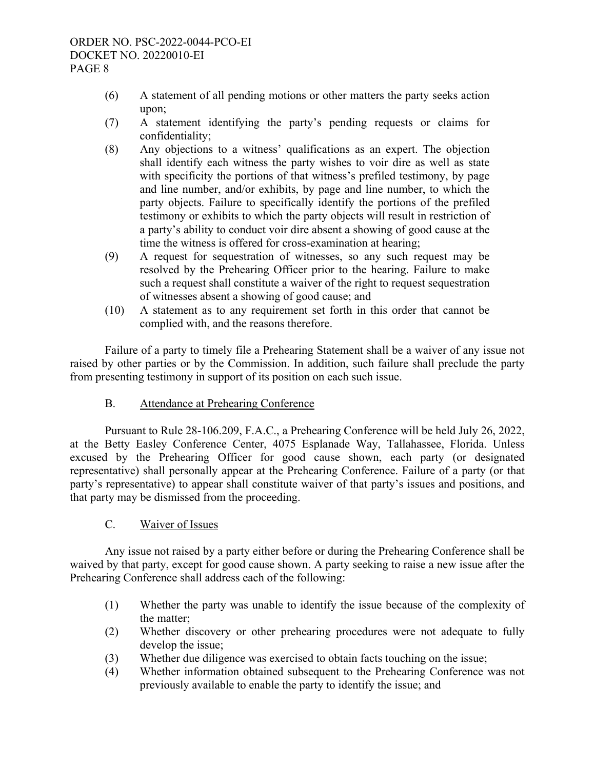- (6) A statement of all pending motions or other matters the party seeks action upon;
- (7) A statement identifying the party's pending requests or claims for confidentiality;
- (8) Any objections to a witness' qualifications as an expert. The objection shall identify each witness the party wishes to voir dire as well as state with specificity the portions of that witness's prefiled testimony, by page and line number, and/or exhibits, by page and line number, to which the party objects. Failure to specifically identify the portions of the prefiled testimony or exhibits to which the party objects will result in restriction of a party's ability to conduct voir dire absent a showing of good cause at the time the witness is offered for cross-examination at hearing;
- (9) A request for sequestration of witnesses, so any such request may be resolved by the Prehearing Officer prior to the hearing. Failure to make such a request shall constitute a waiver of the right to request sequestration of witnesses absent a showing of good cause; and
- (10) A statement as to any requirement set forth in this order that cannot be complied with, and the reasons therefore.

 Failure of a party to timely file a Prehearing Statement shall be a waiver of any issue not raised by other parties or by the Commission. In addition, such failure shall preclude the party from presenting testimony in support of its position on each such issue.

B. Attendance at Prehearing Conference

 Pursuant to Rule 28-106.209, F.A.C., a Prehearing Conference will be held July 26, 2022, at the Betty Easley Conference Center, 4075 Esplanade Way, Tallahassee, Florida. Unless excused by the Prehearing Officer for good cause shown, each party (or designated representative) shall personally appear at the Prehearing Conference. Failure of a party (or that party's representative) to appear shall constitute waiver of that party's issues and positions, and that party may be dismissed from the proceeding.

C. Waiver of Issues

 Any issue not raised by a party either before or during the Prehearing Conference shall be waived by that party, except for good cause shown. A party seeking to raise a new issue after the Prehearing Conference shall address each of the following:

- (1) Whether the party was unable to identify the issue because of the complexity of the matter;
- (2) Whether discovery or other prehearing procedures were not adequate to fully develop the issue;
- (3) Whether due diligence was exercised to obtain facts touching on the issue;
- (4) Whether information obtained subsequent to the Prehearing Conference was not previously available to enable the party to identify the issue; and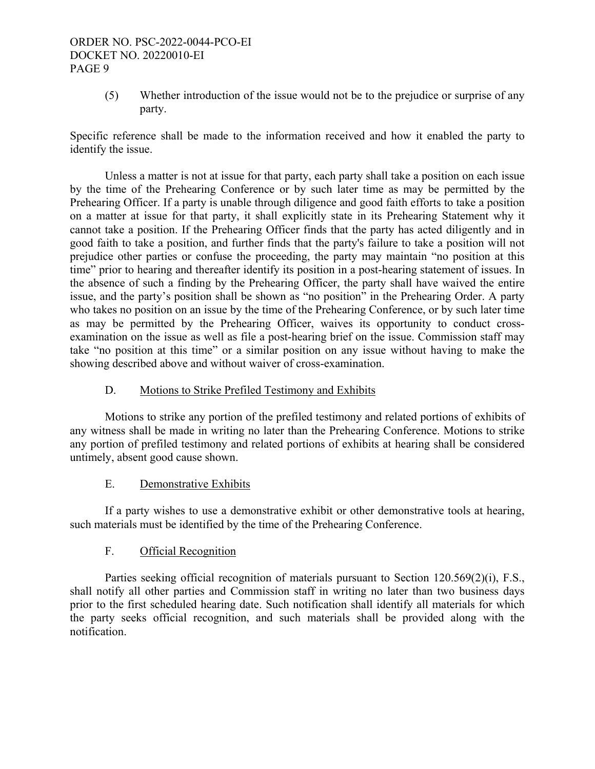(5) Whether introduction of the issue would not be to the prejudice or surprise of any party.

Specific reference shall be made to the information received and how it enabled the party to identify the issue.

 Unless a matter is not at issue for that party, each party shall take a position on each issue by the time of the Prehearing Conference or by such later time as may be permitted by the Prehearing Officer. If a party is unable through diligence and good faith efforts to take a position on a matter at issue for that party, it shall explicitly state in its Prehearing Statement why it cannot take a position. If the Prehearing Officer finds that the party has acted diligently and in good faith to take a position, and further finds that the party's failure to take a position will not prejudice other parties or confuse the proceeding, the party may maintain "no position at this time" prior to hearing and thereafter identify its position in a post-hearing statement of issues. In the absence of such a finding by the Prehearing Officer, the party shall have waived the entire issue, and the party's position shall be shown as "no position" in the Prehearing Order. A party who takes no position on an issue by the time of the Prehearing Conference, or by such later time as may be permitted by the Prehearing Officer, waives its opportunity to conduct crossexamination on the issue as well as file a post-hearing brief on the issue. Commission staff may take "no position at this time" or a similar position on any issue without having to make the showing described above and without waiver of cross-examination.

# D. Motions to Strike Prefiled Testimony and Exhibits

 Motions to strike any portion of the prefiled testimony and related portions of exhibits of any witness shall be made in writing no later than the Prehearing Conference. Motions to strike any portion of prefiled testimony and related portions of exhibits at hearing shall be considered untimely, absent good cause shown.

### E. Demonstrative Exhibits

 If a party wishes to use a demonstrative exhibit or other demonstrative tools at hearing, such materials must be identified by the time of the Prehearing Conference.

# F. Official Recognition

 Parties seeking official recognition of materials pursuant to Section 120.569(2)(i), F.S., shall notify all other parties and Commission staff in writing no later than two business days prior to the first scheduled hearing date. Such notification shall identify all materials for which the party seeks official recognition, and such materials shall be provided along with the notification.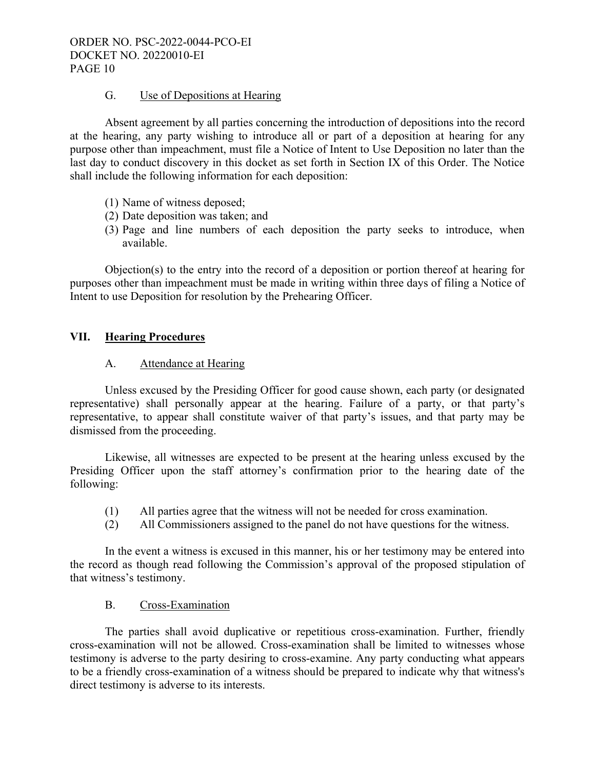## G. Use of Depositions at Hearing

 Absent agreement by all parties concerning the introduction of depositions into the record at the hearing, any party wishing to introduce all or part of a deposition at hearing for any purpose other than impeachment, must file a Notice of Intent to Use Deposition no later than the last day to conduct discovery in this docket as set forth in Section IX of this Order. The Notice shall include the following information for each deposition:

- (1) Name of witness deposed;
- (2) Date deposition was taken; and
- (3) Page and line numbers of each deposition the party seeks to introduce, when available.

Objection(s) to the entry into the record of a deposition or portion thereof at hearing for purposes other than impeachment must be made in writing within three days of filing a Notice of Intent to use Deposition for resolution by the Prehearing Officer.

## **VII. Hearing Procedures**

## A. Attendance at Hearing

 Unless excused by the Presiding Officer for good cause shown, each party (or designated representative) shall personally appear at the hearing. Failure of a party, or that party's representative, to appear shall constitute waiver of that party's issues, and that party may be dismissed from the proceeding.

 Likewise, all witnesses are expected to be present at the hearing unless excused by the Presiding Officer upon the staff attorney's confirmation prior to the hearing date of the following:

- (1) All parties agree that the witness will not be needed for cross examination.
- (2) All Commissioners assigned to the panel do not have questions for the witness.

 In the event a witness is excused in this manner, his or her testimony may be entered into the record as though read following the Commission's approval of the proposed stipulation of that witness's testimony.

### B. Cross-Examination

 The parties shall avoid duplicative or repetitious cross-examination. Further, friendly cross-examination will not be allowed. Cross-examination shall be limited to witnesses whose testimony is adverse to the party desiring to cross-examine. Any party conducting what appears to be a friendly cross-examination of a witness should be prepared to indicate why that witness's direct testimony is adverse to its interests.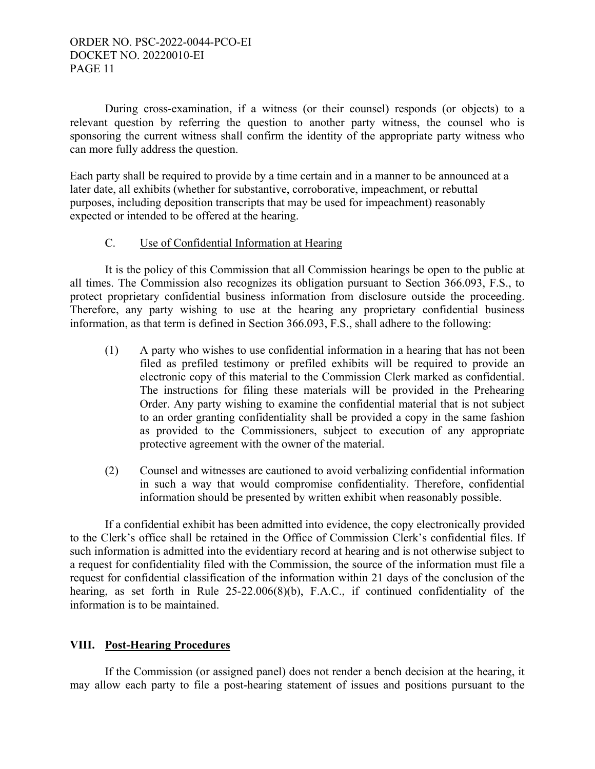During cross-examination, if a witness (or their counsel) responds (or objects) to a relevant question by referring the question to another party witness, the counsel who is sponsoring the current witness shall confirm the identity of the appropriate party witness who can more fully address the question.

Each party shall be required to provide by a time certain and in a manner to be announced at a later date, all exhibits (whether for substantive, corroborative, impeachment, or rebuttal purposes, including deposition transcripts that may be used for impeachment) reasonably expected or intended to be offered at the hearing.

## C. Use of Confidential Information at Hearing

 It is the policy of this Commission that all Commission hearings be open to the public at all times. The Commission also recognizes its obligation pursuant to Section 366.093, F.S., to protect proprietary confidential business information from disclosure outside the proceeding. Therefore, any party wishing to use at the hearing any proprietary confidential business information, as that term is defined in Section 366.093, F.S., shall adhere to the following:

- (1) A party who wishes to use confidential information in a hearing that has not been filed as prefiled testimony or prefiled exhibits will be required to provide an electronic copy of this material to the Commission Clerk marked as confidential. The instructions for filing these materials will be provided in the Prehearing Order. Any party wishing to examine the confidential material that is not subject to an order granting confidentiality shall be provided a copy in the same fashion as provided to the Commissioners, subject to execution of any appropriate protective agreement with the owner of the material.
- (2) Counsel and witnesses are cautioned to avoid verbalizing confidential information in such a way that would compromise confidentiality. Therefore, confidential information should be presented by written exhibit when reasonably possible.

 If a confidential exhibit has been admitted into evidence, the copy electronically provided to the Clerk's office shall be retained in the Office of Commission Clerk's confidential files. If such information is admitted into the evidentiary record at hearing and is not otherwise subject to a request for confidentiality filed with the Commission, the source of the information must file a request for confidential classification of the information within 21 days of the conclusion of the hearing, as set forth in Rule 25-22.006(8)(b), F.A.C., if continued confidentiality of the information is to be maintained.

# **VIII. Post-Hearing Procedures**

 If the Commission (or assigned panel) does not render a bench decision at the hearing, it may allow each party to file a post-hearing statement of issues and positions pursuant to the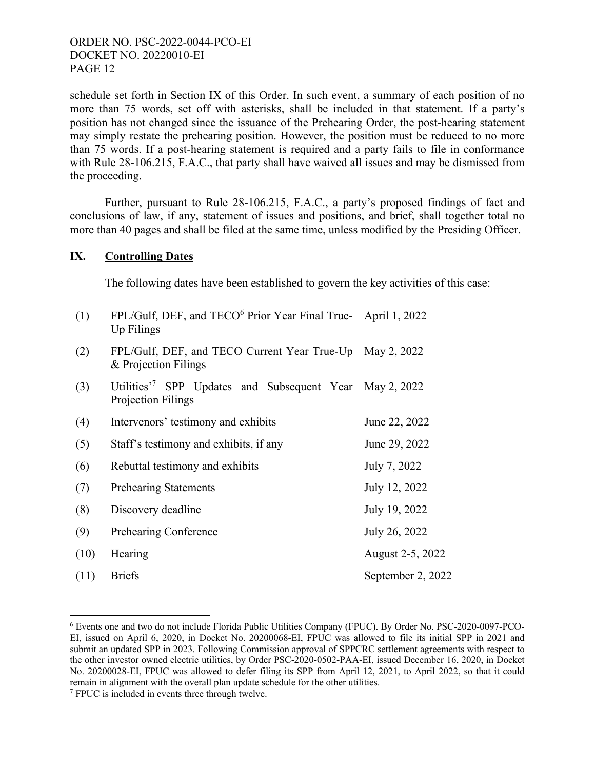schedule set forth in Section IX of this Order. In such event, a summary of each position of no more than 75 words, set off with asterisks, shall be included in that statement. If a party's position has not changed since the issuance of the Prehearing Order, the post-hearing statement may simply restate the prehearing position. However, the position must be reduced to no more than 75 words. If a post-hearing statement is required and a party fails to file in conformance with Rule 28-106.215, F.A.C., that party shall have waived all issues and may be dismissed from the proceeding.

 Further, pursuant to Rule 28-106.215, F.A.C., a party's proposed findings of fact and conclusions of law, if any, statement of issues and positions, and brief, shall together total no more than 40 pages and shall be filed at the same time, unless modified by the Presiding Officer.

## **IX. Controlling Dates**

The following dates have been established to govern the key activities of this case:

| (1)  | FPL/Gulf, DEF, and TECO <sup>6</sup> Prior Year Final True-April 1, 2022<br>Up Filings   |                   |
|------|------------------------------------------------------------------------------------------|-------------------|
| (2)  | FPL/Gulf, DEF, and TECO Current Year True-Up May 2, 2022<br>& Projection Filings         |                   |
| (3)  | Utilities <sup>7</sup> SPP Updates and Subsequent Year May 2, 2022<br>Projection Filings |                   |
| (4)  | Intervenors' testimony and exhibits                                                      | June 22, 2022     |
| (5)  | Staff's testimony and exhibits, if any                                                   | June 29, 2022     |
| (6)  | Rebuttal testimony and exhibits                                                          | July 7, 2022      |
| (7)  | <b>Prehearing Statements</b>                                                             | July 12, 2022     |
| (8)  | Discovery deadline                                                                       | July 19, 2022     |
| (9)  | Prehearing Conference                                                                    | July 26, 2022     |
| (10) | Hearing                                                                                  | August 2-5, 2022  |
| (11) | <b>Briefs</b>                                                                            | September 2, 2022 |

<sup>6</sup> Events one and two do not include Florida Public Utilities Company (FPUC). By Order No. PSC-2020-0097-PCO-EI, issued on April 6, 2020, in Docket No. 20200068-EI, FPUC was allowed to file its initial SPP in 2021 and submit an updated SPP in 2023. Following Commission approval of SPPCRC settlement agreements with respect to the other investor owned electric utilities, by Order PSC-2020-0502-PAA-EI, issued December 16, 2020, in Docket No. 20200028-EI, FPUC was allowed to defer filing its SPP from April 12, 2021, to April 2022, so that it could remain in alignment with the overall plan update schedule for the other utilities.

 $\overline{a}$ 

<sup>&</sup>lt;sup>7</sup> FPUC is included in events three through twelve.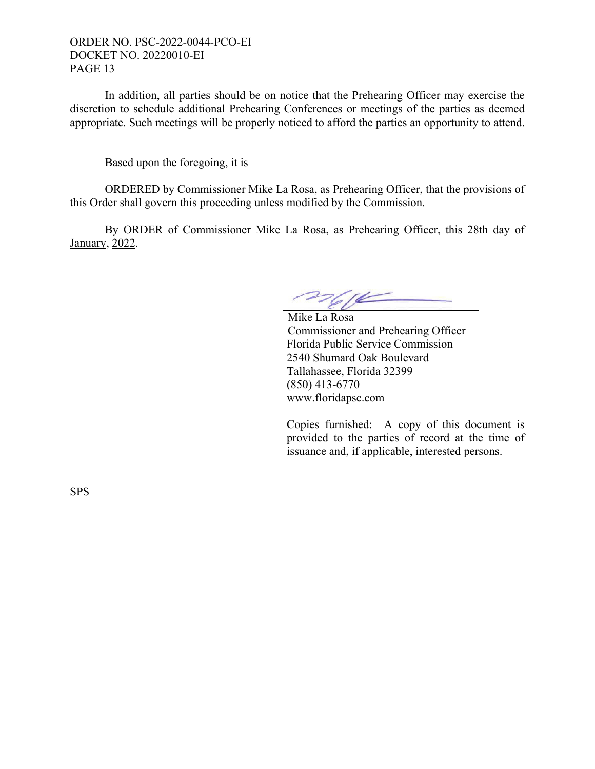In addition, all parties should be on notice that the Prehearing Officer may exercise the discretion to schedule additional Prehearing Conferences or meetings of the parties as deemed appropriate. Such meetings will be properly noticed to afford the parties an opportunity to attend.

Based upon the foregoing, it is

 ORDERED by Commissioner Mike La Rosa, as Prehearing Officer, that the provisions of this Order shall govern this proceeding unless modified by the Commission.

 By ORDER of Commissioner Mike La Rosa, as Prehearing Officer, this 28th day of January, 2022.

mell

 Mike La Rosa Commissioner and Prehearing Officer Florida Public Service Commission 2540 Shumard Oak Boulevard Tallahassee, Florida 32399 (850) 413-6770 www.floridapsc.com

Copies furnished: A copy of this document is provided to the parties of record at the time of issuance and, if applicable, interested persons.

SPS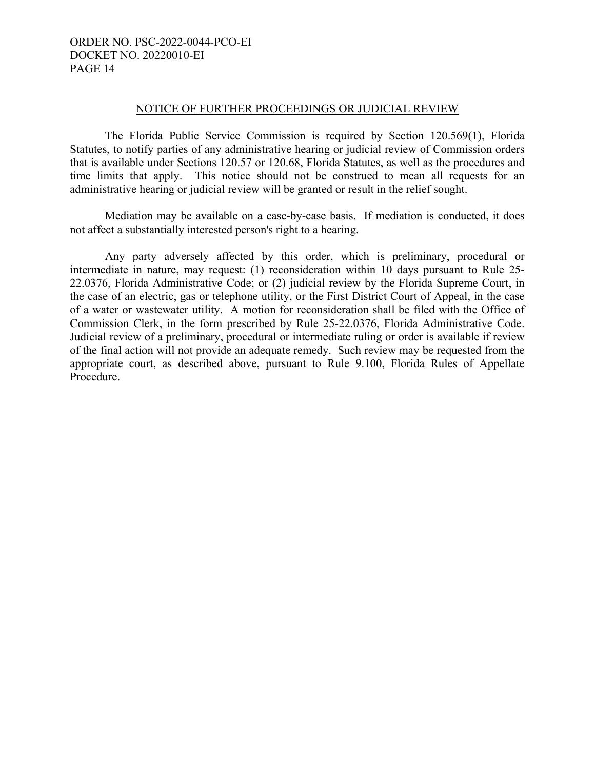#### NOTICE OF FURTHER PROCEEDINGS OR JUDICIAL REVIEW

 The Florida Public Service Commission is required by Section 120.569(1), Florida Statutes, to notify parties of any administrative hearing or judicial review of Commission orders that is available under Sections 120.57 or 120.68, Florida Statutes, as well as the procedures and time limits that apply. This notice should not be construed to mean all requests for an administrative hearing or judicial review will be granted or result in the relief sought.

 Mediation may be available on a case-by-case basis. If mediation is conducted, it does not affect a substantially interested person's right to a hearing.

 Any party adversely affected by this order, which is preliminary, procedural or intermediate in nature, may request: (1) reconsideration within 10 days pursuant to Rule 25- 22.0376, Florida Administrative Code; or (2) judicial review by the Florida Supreme Court, in the case of an electric, gas or telephone utility, or the First District Court of Appeal, in the case of a water or wastewater utility. A motion for reconsideration shall be filed with the Office of Commission Clerk, in the form prescribed by Rule 25-22.0376, Florida Administrative Code. Judicial review of a preliminary, procedural or intermediate ruling or order is available if review of the final action will not provide an adequate remedy. Such review may be requested from the appropriate court, as described above, pursuant to Rule 9.100, Florida Rules of Appellate Procedure.